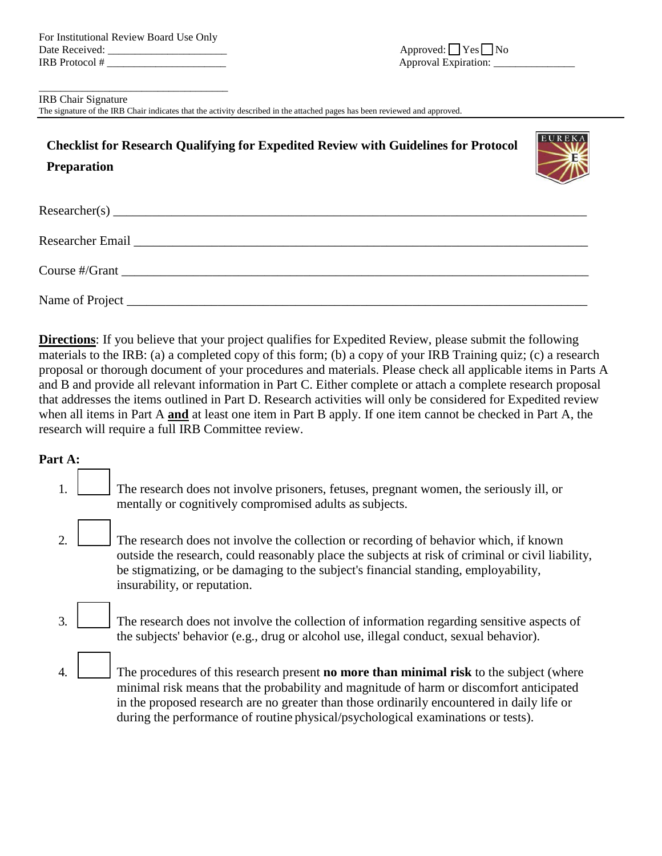\_\_\_\_\_\_\_\_\_\_\_\_\_\_\_\_\_\_\_\_\_\_\_\_\_\_\_\_\_\_\_\_\_\_\_

#### IRB Chair Signature

The signature of the IRB Chair indicates that the activity described in the attached pages has been reviewed and approved.

# **Checklist for Research Qualifying for Expedited Review with Guidelines for Protocol Preparation**



| Researcher(s)                                                                                                                                                                                                                                                                                      |
|----------------------------------------------------------------------------------------------------------------------------------------------------------------------------------------------------------------------------------------------------------------------------------------------------|
|                                                                                                                                                                                                                                                                                                    |
| Course #/Grant $\frac{1}{2}$ = $\frac{1}{2}$ = $\frac{1}{2}$ = $\frac{1}{2}$ = $\frac{1}{2}$ = $\frac{1}{2}$ = $\frac{1}{2}$ = $\frac{1}{2}$ = $\frac{1}{2}$ = $\frac{1}{2}$ = $\frac{1}{2}$ = $\frac{1}{2}$ = $\frac{1}{2}$ = $\frac{1}{2}$ = $\frac{1}{2}$ = $\frac{1}{2}$ = $\frac{1}{2}$ = $\$ |
| Name of Project <u>example and the contract of Project</u>                                                                                                                                                                                                                                         |

**Directions**: If you believe that your project qualifies for Expedited Review, please submit the following materials to the IRB: (a) a completed copy of this form; (b) a copy of your IRB Training quiz; (c) a research proposal or thorough document of your procedures and materials. Please check all applicable items in Parts A and B and provide all relevant information in Part C. Either complete or attach a complete research proposal that addresses the items outlined in Part D. Research activities will only be considered for Expedited review when all items in Part A **and** at least one item in Part B apply. If one item cannot be checked in Part A, the research will require a full IRB Committee review.

## **Part A:**

- 1. The research does not involve prisoners, fetuses, pregnant women, the seriously ill, or mentally or cognitively compromised adults as subjects.
- 2. The research does not involve the collection or recording of behavior which, if known outside the research, could reasonably place the subjects at risk of criminal or civil liability, be stigmatizing, or be damaging to the subject's financial standing, employability, insurability, or reputation.
- 3. The research does not involve the collection of information regarding sensitive aspects of the subjects' behavior (e.g., drug or alcohol use, illegal conduct, sexual behavior).
- 4. \_\_\_\_\_ The procedures of this research present **no more than minimal risk** to the subject (where minimal risk means that the probability and magnitude of harm or discomfort anticipated in the proposed research are no greater than those ordinarily encountered in daily life or during the performance of routine physical/psychological examinations or tests).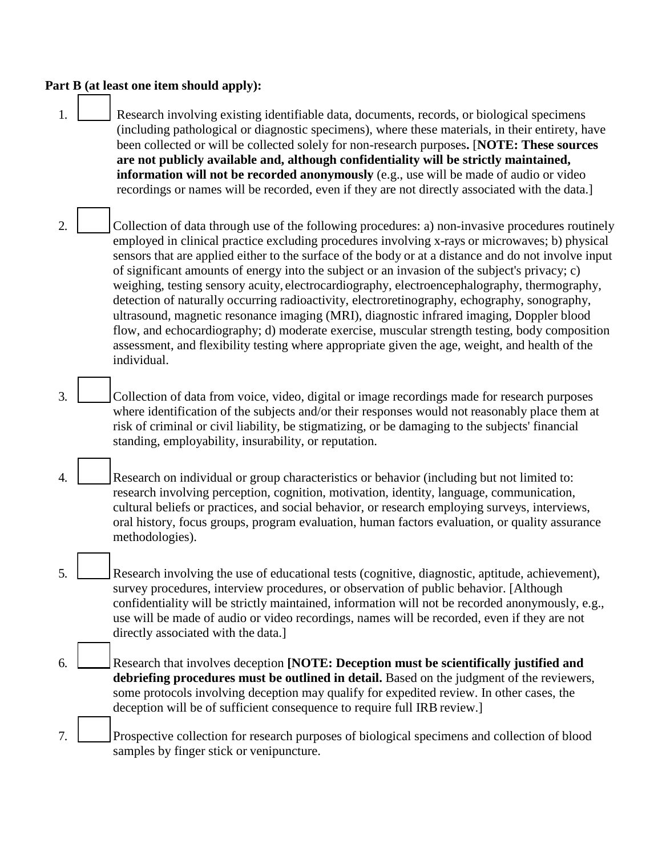#### **Part B (at least one item should apply):**

- 1. **All Exercise** Research involving existing identifiable data, documents, records, or biological specimens (including pathological or diagnostic specimens), where these materials, in their entirety, have been collected or will be collected solely for non-research purposes**.** [**NOTE: These sources are not publicly available and, although confidentiality will be strictly maintained, information will not be recorded anonymously** (e.g., use will be made of audio or video recordings or names will be recorded, even if they are not directly associated with the data.]
- 2. Collection of data through use of the following procedures: a) non-invasive procedures routinely employed in clinical practice excluding procedures involving x-rays or microwaves; b) physical sensors that are applied either to the surface of the body or at a distance and do not involve input of significant amounts of energy into the subject or an invasion of the subject's privacy; c) weighing, testing sensory acuity, electrocardiography, electroencephalography, thermography, detection of naturally occurring radioactivity, electroretinography, echography, sonography, ultrasound, magnetic resonance imaging (MRI), diagnostic infrared imaging, Doppler blood flow, and echocardiography; d) moderate exercise, muscular strength testing, body composition assessment, and flexibility testing where appropriate given the age, weight, and health of the individual.
- 3. \_\_\_\_\_ Collection of data from voice, video, digital or image recordings made for research purposes where identification of the subjects and/or their responses would not reasonably place them at risk of criminal or civil liability, be stigmatizing, or be damaging to the subjects' financial standing, employability, insurability, or reputation.
- 4. Exerch on individual or group characteristics or behavior (including but not limited to: research involving perception, cognition, motivation, identity, language, communication, cultural beliefs or practices, and social behavior, or research employing surveys, interviews, oral history, focus groups, program evaluation, human factors evaluation, or quality assurance methodologies).
- 5. \_\_\_\_\_ Research involving the use of educational tests (cognitive, diagnostic, aptitude, achievement), survey procedures, interview procedures, or observation of public behavior. [Although confidentiality will be strictly maintained, information will not be recorded anonymously, e.g., use will be made of audio or video recordings, names will be recorded, even if they are not directly associated with the data.]
- 6. \_\_\_\_\_ Research that involves deception **[NOTE: Deception must be scientifically justified and debriefing procedures must be outlined in detail.** Based on the judgment of the reviewers, some protocols involving deception may qualify for expedited review. In other cases, the deception will be of sufficient consequence to require full IRB review.]
- 7. \_\_\_\_\_ Prospective collection for research purposes of biological specimens and collection of blood samples by finger stick or venipuncture.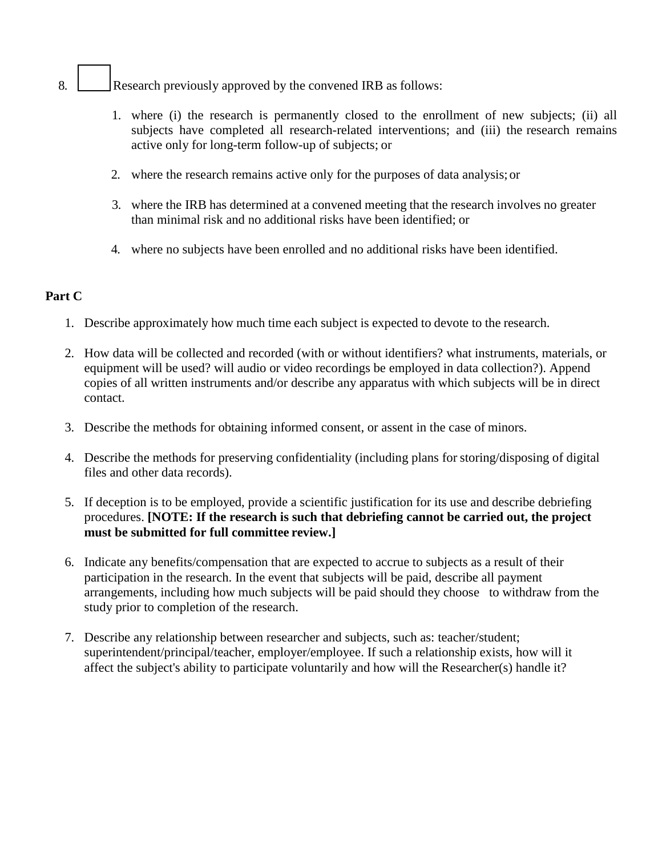- 8. **All Exercise** Research previously approved by the convened IRB as follows:
	- 1. where (i) the research is permanently closed to the enrollment of new subjects; (ii) all subjects have completed all research-related interventions; and (iii) the research remains active only for long-term follow-up of subjects; or
	- 2. where the research remains active only for the purposes of data analysis;or
	- 3. where the IRB has determined at a convened meeting that the research involves no greater than minimal risk and no additional risks have been identified; or
	- 4. where no subjects have been enrolled and no additional risks have been identified.

#### **Part C**

- 1. Describe approximately how much time each subject is expected to devote to the research.
- 2. How data will be collected and recorded (with or without identifiers? what instruments, materials, or equipment will be used? will audio or video recordings be employed in data collection?). Append copies of all written instruments and/or describe any apparatus with which subjects will be in direct contact.
- 3. Describe the methods for obtaining informed consent, or assent in the case of minors.
- 4. Describe the methods for preserving confidentiality (including plans for storing/disposing of digital files and other data records).
- 5. If deception is to be employed, provide a scientific justification for its use and describe debriefing procedures. **[NOTE: If the research is such that debriefing cannot be carried out, the project must be submitted for full committee review.]**
- 6. Indicate any benefits/compensation that are expected to accrue to subjects as a result of their participation in the research. In the event that subjects will be paid, describe all payment arrangements, including how much subjects will be paid should they choose to withdraw from the study prior to completion of the research.
- 7. Describe any relationship between researcher and subjects, such as: teacher/student; superintendent/principal/teacher, employer/employee. If such a relationship exists, how will it affect the subject's ability to participate voluntarily and how will the Researcher(s) handle it?